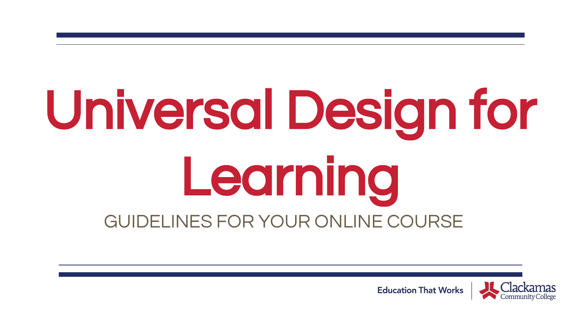# Universal Design for Learning GUIDELINES FOR YOUR ONLINE COURSE



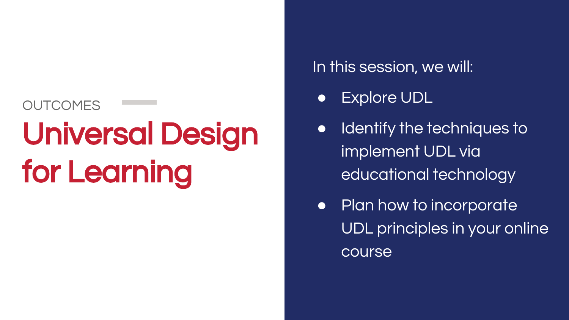### OUTCOMES Universal Design for Learning

#### In this session, we will:

- **Explore UDL**
- Identify the techniques to implement UDL via educational technology
- Plan how to incorporate UDL principles in your online course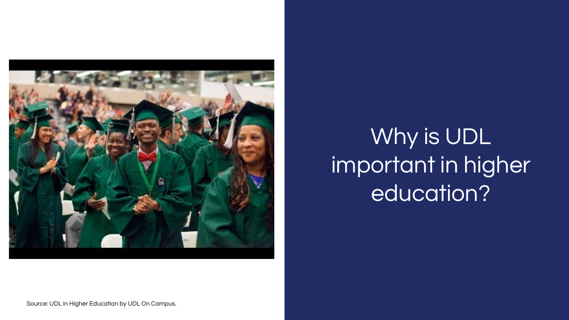

#### Why is UDL important in higher education?

Source: UDL in Higher Education by UDL On Campus.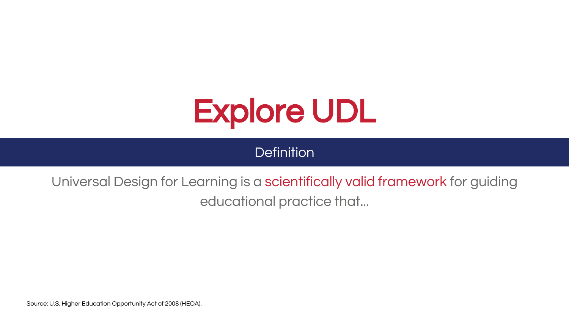

**Definition** 

Universal Design for Learning is a scientifically valid framework for guiding educational practice that...

Source: U.S. Higher Education Opportunity Act of 2008 (HEOA).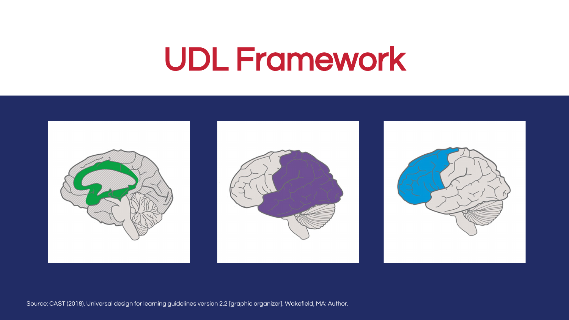## UDL Framework



Source: CAST (2018). Universal design for learning guidelines version 2.2 [graphic organizer]. Wakefield, MA: Author.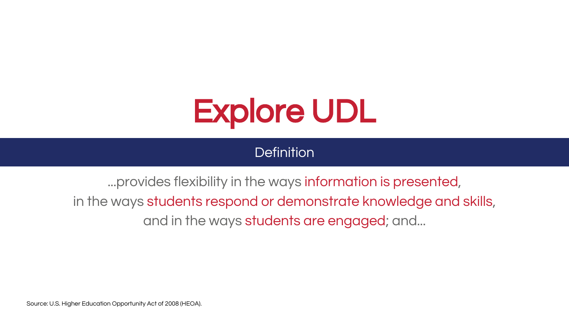

**Definition** 

...provides flexibility in the ways information is presented, in the ways students respond or demonstrate knowledge and skills, and in the ways students are engaged; and...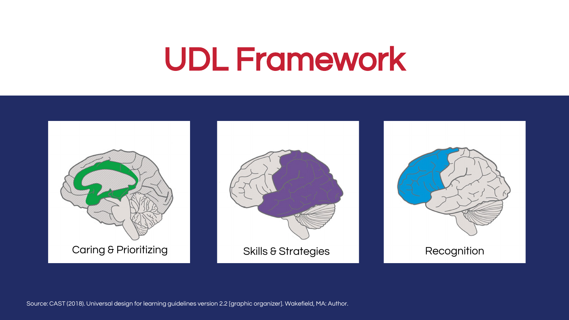## UDL Framework



Source: CAST (2018). Universal design for learning guidelines version 2.2 [graphic organizer]. Wakefield, MA: Author.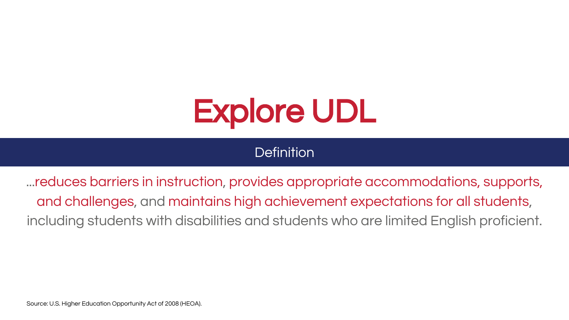

**Definition** 

...reduces barriers in instruction, provides appropriate accommodations, supports, and challenges, and maintains high achievement expectations for all students, including students with disabilities and students who are limited English proficient.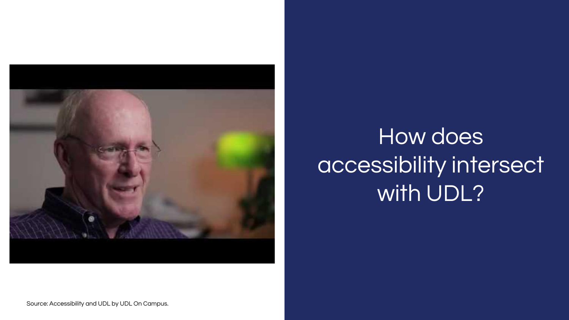

#### How does accessibility intersect with UDL?

Source: Accessibility and UDL by UDL On Campus.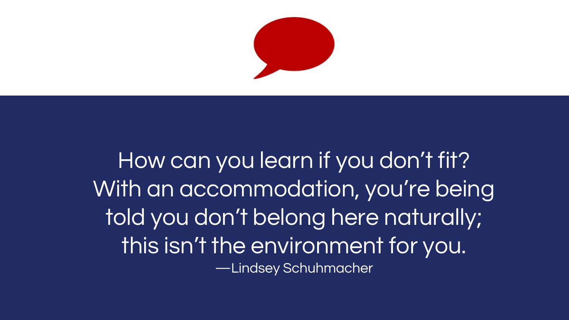

How can you learn if you don't fit? With an accommodation, you're being told you don't belong here naturally; this isn't the environment for you. —Lindsey Schuhmacher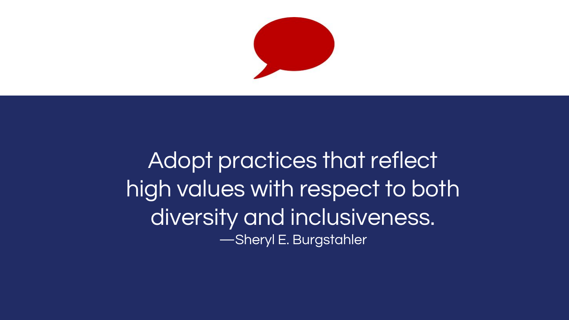

Adopt practices that reflect high values with respect to both diversity and inclusiveness. —Sheryl E. Burgstahler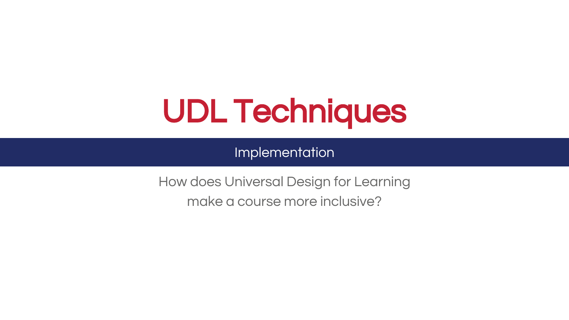## UDL Techniques

Implementation

How does Universal Design for Learning make a course more inclusive?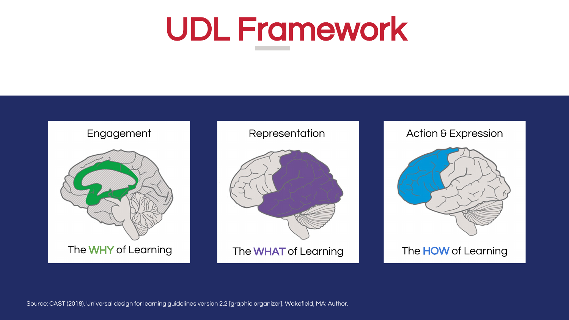## UDL Framework





Source: CAST (2018). Universal design for learning guidelines version 2.2 [graphic organizer]. Wakefield, MA: Author.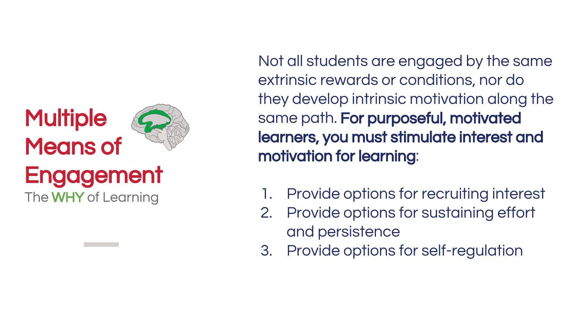#### **Multiple** Means of **Engagement**

The **WHY** of Learning

Not all students are engaged by the same extrinsic rewards or conditions, nor do they develop intrinsic motivation along the same path. For purposeful, motivated learners, you must stimulate interest and motivation for learning:

- 1. Provide options for recruiting interest
- 2. Provide options for sustaining effort and persistence
- 3. Provide options for self-regulation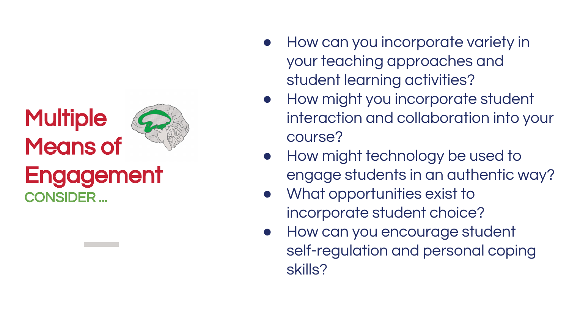#### **Multiple** Means of **Engagement** CONSIDER ...

- How can you incorporate variety in your teaching approaches and student learning activities?
- How might you incorporate student interaction and collaboration into your course?
- How might technology be used to engage students in an authentic way?
- What opportunities exist to incorporate student choice?
- How can you encourage student self-regulation and personal coping skills?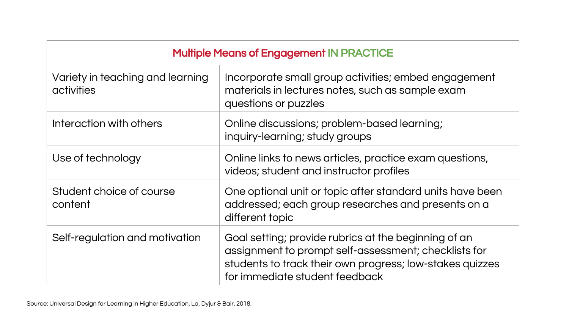| <b>Multiple Means of Engagement IN PRACTICE</b> |                                                                                                                                                                                                            |
|-------------------------------------------------|------------------------------------------------------------------------------------------------------------------------------------------------------------------------------------------------------------|
| Variety in teaching and learning<br>activities  | Incorporate small group activities; embed engagement<br>materials in lectures notes, such as sample exam<br>questions or puzzles                                                                           |
| Interaction with others                         | Online discussions; problem-based learning;<br>inquiry-learning; study groups                                                                                                                              |
| Use of technology                               | Online links to news articles, practice exam questions,<br>videos; student and instructor profiles                                                                                                         |
| Student choice of course<br>content             | One optional unit or topic after standard units have been<br>addressed; each group researches and presents on a<br>different topic                                                                         |
| Self-regulation and motivation                  | Goal setting; provide rubrics at the beginning of an<br>assignment to prompt self-assessment; checklists for<br>students to track their own progress; low-stakes quizzes<br>for immediate student feedback |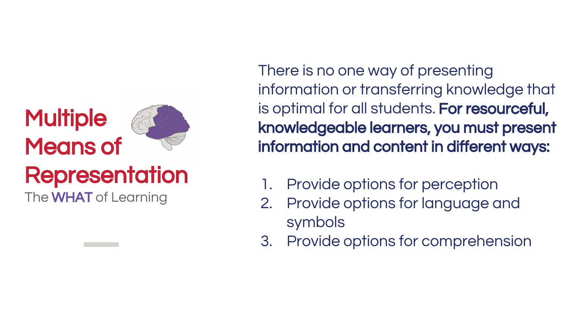#### **Multiple** Means of

#### **Representation**

The WHAT of Learning

There is no one way of presenting information or transferring knowledge that is optimal for all students. For resourceful, knowledgeable learners, you must present information and content in different ways:

- Provide options for perception
- 2. Provide options for language and symbols
- 3. Provide options for comprehension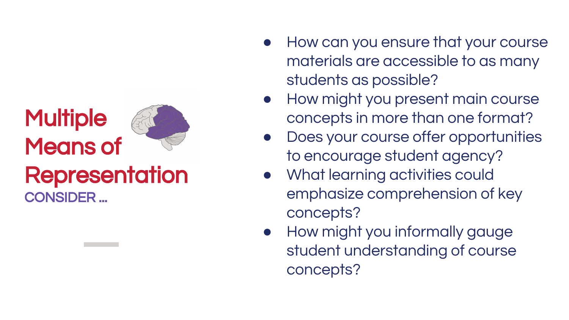## **Multiple** Means of



- How can you ensure that your course materials are accessible to as many students as possible?
- How might you present main course concepts in more than one format?
- Does your course offer opportunities to encourage student agency?
- What learning activities could emphasize comprehension of key concepts?
- How might you informally gauge student understanding of course concepts?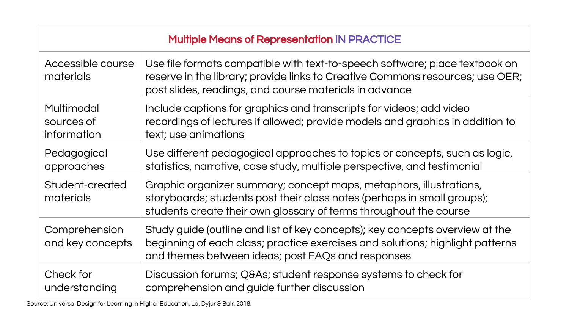| <b>Multiple Means of Representation IN PRACTICE</b> |                                                                                                                                                                                                                        |
|-----------------------------------------------------|------------------------------------------------------------------------------------------------------------------------------------------------------------------------------------------------------------------------|
| Accessible course<br>materials                      | Use file formats compatible with text-to-speech software; place textbook on<br>reserve in the library; provide links to Creative Commons resources; use OER;<br>post slides, readings, and course materials in advance |
| Multimodal<br>sources of<br>information             | Include captions for graphics and transcripts for videos; add video<br>recordings of lectures if allowed; provide models and graphics in addition to<br>text; use animations                                           |
| Pedagogical<br>approaches                           | Use different pedagogical approaches to topics or concepts, such as logic,<br>statistics, narrative, case study, multiple perspective, and testimonial                                                                 |
| Student-created<br>materials                        | Graphic organizer summary; concept maps, metaphors, illustrations,<br>storyboards; students post their class notes (perhaps in small groups);<br>students create their own glossary of terms throughout the course     |
| Comprehension<br>and key concepts                   | Study guide (outline and list of key concepts); key concepts overview at the<br>beginning of each class; practice exercises and solutions; highlight patterns<br>and themes between ideas; post FAQs and responses     |
| Check for<br>understanding                          | Discussion forums; Q&As student response systems to check for<br>comprehension and guide further discussion                                                                                                            |

Source: Universal Design for Learning in Higher Education, La, Dyjur & Bair, 2018.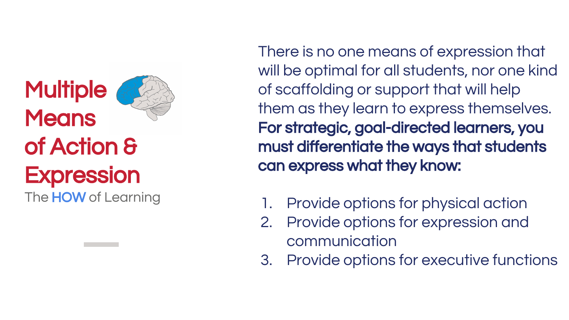### **Multiple Means** of Action & **Expression**



The **HOW** of Learning

There is no one means of expression that will be optimal for all students, nor one kind of scaffolding or support that will help them as they learn to express themselves. For strategic, goal-directed learners, you must differentiate the ways that students can express what they know:

- 1. Provide options for physical action
- 2. Provide options for expression and communication
- 3. Provide options for executive functions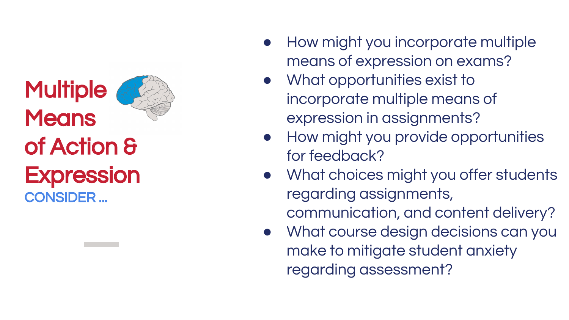#### **Multiple Means** of Action & **Expression** CONSIDER ...



- What opportunities exist to incorporate multiple means of expression in assignments?
- How might you provide opportunities for feedback?
- What choices might you offer students regarding assignments, communication, and content delivery?
- What course design decisions can you make to mitigate student anxiety regarding assessment?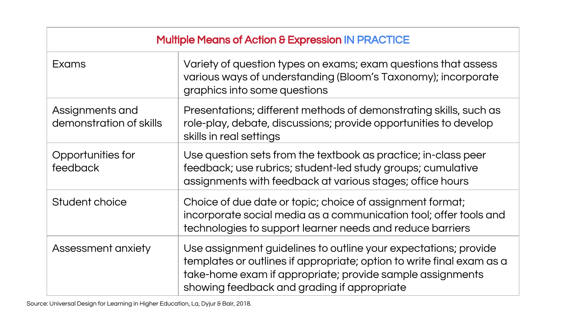| <b>Multiple Means of Action &amp; Expression IN PRACTICE</b> |                                                                                                                                                                                                                                                      |
|--------------------------------------------------------------|------------------------------------------------------------------------------------------------------------------------------------------------------------------------------------------------------------------------------------------------------|
| <b>Exams</b>                                                 | Variety of question types on exams; exam questions that assess<br>various ways of understanding (Bloom's Taxonomy); incorporate<br>graphics into some questions                                                                                      |
| Assignments and<br>demonstration of skills                   | Presentations; different methods of demonstrating skills, such as<br>role-play, debate, discussions; provide opportunities to develop<br>skills in real settings                                                                                     |
| Opportunities for<br>feedback                                | Use question sets from the textbook as practice; in-class peer<br>feedback; use rubrics; student-led study groups; cumulative<br>assignments with feedback at various stages; office hours                                                           |
| Student choice                                               | Choice of due date or topic; choice of assignment format;<br>incorporate social media as a communication tool; offer tools and<br>technologies to support learner needs and reduce barriers                                                          |
| Assessment anxiety                                           | Use assignment guidelines to outline your expectations; provide<br>templates or outlines if appropriate; option to write final exam as a<br>take-home exam if appropriate; provide sample assignments<br>showing feedback and grading if appropriate |

Source: Universal Design for Learning in Higher Education, La, Dyjur & Bair, 2018.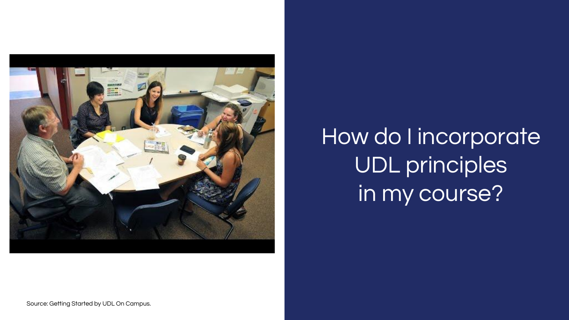

#### How do I incorporate UDL principles in my course?

Source: Getting Started by UDL On Campus.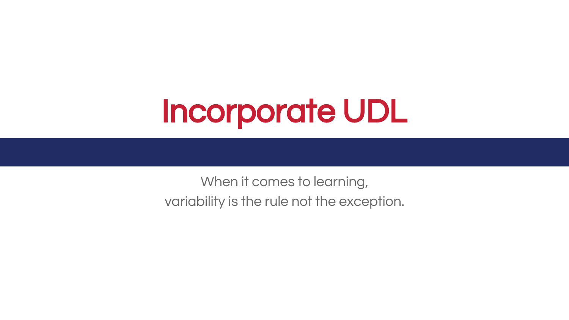## Incorporate UDL

When it comes to learning, variability is the rule not the exception.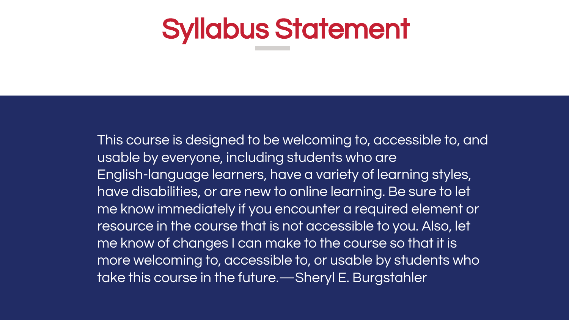#### Syllabus Statement

This course is designed to be welcoming to, accessible to, and usable by everyone, including students who are English-language learners, have a variety of learning styles, have disabilities, or are new to online learning. Be sure to let me know immediately if you encounter a required element or resource in the course that is not accessible to you. Also, let me know of changes I can make to the course so that it is more welcoming to, accessible to, or usable by students who take this course in the future.—Sheryl E. Burgstahler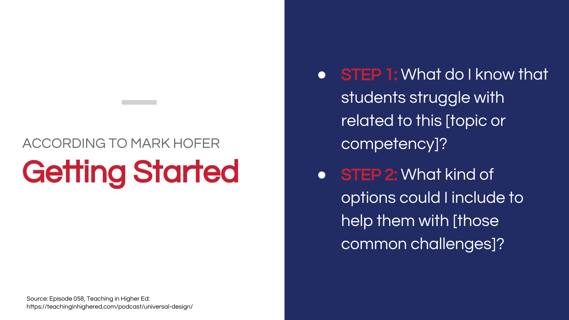#### ACCORDING TO MARK HOFER Getting Started

- STEP 1: What do I know that students struggle with related to this [topic or competency]?
- STEP 2: What kind of options could I include to help them with [those common challenges]?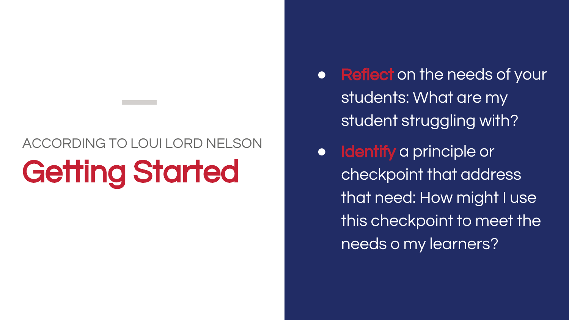#### ACCORDING TO LOUI LORD NELSON **Getting Started**

- Reflect on the needs of your students: What are my student struggling with?
	- **Identify** a principle or checkpoint that address that need: How might I use this checkpoint to meet the needs o my learners?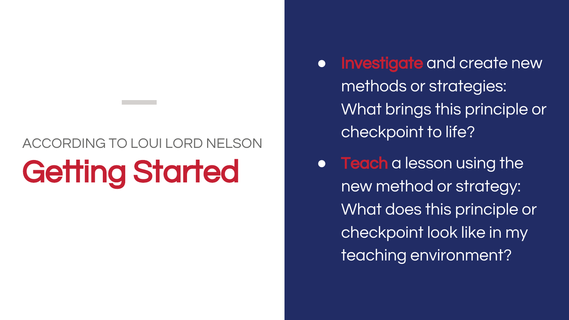#### ACCORDING TO LOUI LORD NELSON Getting Started

- **Investigate** and create new methods or strategies: What brings this principle or checkpoint to life?
- **Teach** a lesson using the new method or strategy: What does this principle or checkpoint look like in my teaching environment?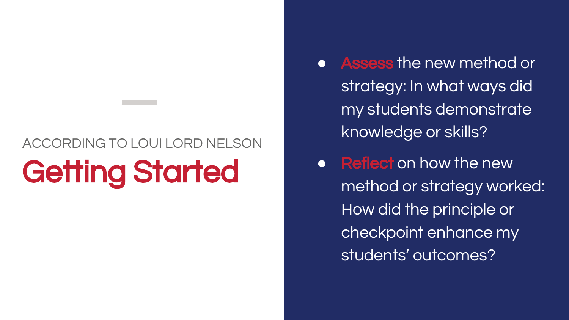#### ACCORDING TO LOUI LORD NELSON Getting Started

- Assess the new method or strategy: In what ways did my students demonstrate knowledge or skills?
- Reflect on how the new method or strategy worked: How did the principle or checkpoint enhance my students' outcomes?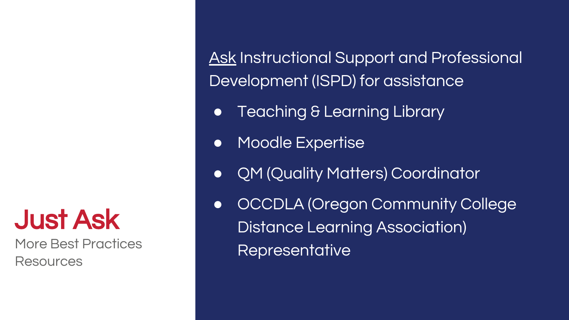Just Ask

More Best Practices Resources

Ask Instructional Support and Professional Development (ISPD) for assistance

- Teaching & Learning Library
- Moodle Expertise
- QM (Quality Matters) Coordinator
- OCCDLA (Oregon Community College Distance Learning Association) Representative